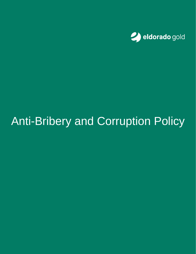

# Anti-Bribery and Corruption Policy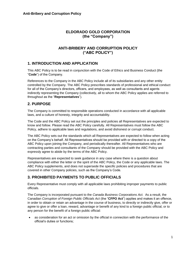#### **ELDORADO GOLD CORPORATION (the "Company")**

#### **ANTI-BRIBERY AND CORRUPTION POLICY ("ABC POLICY")**

#### **1. INTRODUCTION AND APPLICATION**

This ABC Policy is to be read in conjunction with the Code of Ethics and Business Conduct (the "**Code**") of the Company.

References to the Company in the ABC Policy include all of its subsidiaries and any other entity controlled by the Company. The ABC Policy prescribes standards of professional and ethical conduct for all of the Company's directors, officers, and employees, as well as consultants and agents indirectly representing the Company (collectively, all to whom the ABC Policy applies are referred to throughout as the "**Representatives**").

#### **2. PURPOSE**

The Company is committed to responsible operations conducted in accordance with all applicable laws, and a culture of honesty, integrity and accountability.

The Code and the ABC Policy set out the principles and policies all Representatives are expected to know and follow. Please read the ABC Policy carefully. All Representatives must follow the ABC Policy, adhere to applicable laws and regulations, and avoid dishonest or corrupt conduct.

The ABC Policy sets out the standards which all Representatives are expected to follow when acting on the Company's behalf. All Representatives should be provided with or directed to a copy of the ABC Policy upon joining the Company, and periodically thereafter. All Representatives who are contracting parties and consultants of the Company should be provided with the ABC Policy and expressly agree to abide by the terms of the ABC Policy.

Representatives are expected to seek guidance in any case where there is a question about compliance with either the letter or the spirit of the ABC Policy, the Code or any applicable laws. The ABC Policy supplements, and does not supersede the specific policies and procedures that are covered in other Company policies, such as the Company's Code.

#### **3. PROHIBITED PAYMENTS TO PUBLIC OFFICIALS**

Every Representative must comply with all applicable laws prohibiting improper payments to public officials.

The Company is incorporated pursuant to the *Canada Business Corporations Act.* As a result, the Canadian *Corruption of Foreign Public Officials Act* (the "**CFPO Act**") applies and makes it an offence, in order to obtain or retain an advantage in the course of business, to directly or indirectly give, offer or agree to give or offer a loan, reward, advantage or benefit of any kind to a foreign public official, or to any person for the benefit of a foreign public official:

as consideration for an act or omission by the official in connection with the performance of the official's duties or functions;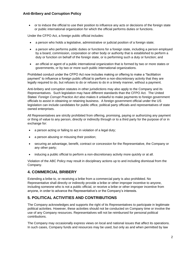• or to induce the official to use their position to influence any acts or decisions of the foreign state or public international organization for which the official performs duties or functions.

Under the CFPO Act, a foreign public official includes:

- a person who holds a legislative, administrative or judicial position of a foreign state;
- a person who performs public duties or functions for a foreign state, including a person employed by a board, commission, corporation or other body or authority that is established to perform a duty or function on behalf of the foreign state, or is performing such a duty or function; and
- an official or agent of a public international organization that is formed by two or more states or governments, or by two or more such public international organizations.

Prohibited conduct under the CFPO Act now includes making or offering to make a "facilitation payment" to influence a foreign public official to perform a non-discretionary activity that they are legally required to do, but refuses to do or refuses to do in a timely manner, without a payment.

Anti-bribery and corruption statutes in other jurisdictions may also apply to the Company and its Representatives. Such legislation may have different standards than the CFPO Act. The United States' *Foreign Corrupt Practice Act* also makes it unlawful to make payments to foreign government officials to assist in obtaining or retaining business. A foreign government official under the US legislation can include candidates for public office, political party officials and representatives of state owned enterprises.

All Representatives are strictly prohibited from offering, promising, paying or authorizing any payment or thing of value to any person, directly or indirectly through or to a third party for the purpose of or in exchange for:

- a person acting or failing to act in violation of a legal duty;
- a person abusing or misusing their position;
- securing an advantage, benefit, contract or concession for the Representative, the Company or any other party;
- inducing a public official to perform a non-discretionary activity more quickly or at all.

Violation of the ABC Policy may result in disciplinary actions up to and including dismissal from the Company.

### **4. COMMERCIAL BRIBERY**

Extending a bribe to, or receiving a bribe from a commercial party is also prohibited. No Representative shall directly or indirectly provide a bribe or other improper incentive to anyone, including someone who is not a public official, or receive a bribe or other improper incentive from anyone, in order to advance the Representative's or the Company's interests.

## **5. POLITICAL ACTIVITIES AND CONTRIBUTIONS**

The Company acknowledges and supports the right of its Representatives to participate in legitimate political activities. However, these activities should not be conducted on Company time or involve the use of any Company resources. Representatives will not be reimbursed for personal political contributions.

The Company may occasionally express views on local and national issues that affect its operations. In such cases, Company funds and resources may be used, but only as and when permitted by law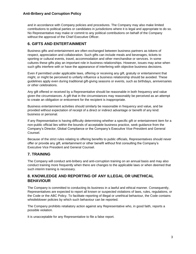and in accordance with Company policies and procedures. The Company may also make limited contributions to political parties or candidates in jurisdictions where it is legal and appropriate to do so. No Representative may make or commit to any political contributions on behalf of the Company without the approval of the Chief Executive Officer.

### **6. GIFTS AND ENTERTAINMENT**

Business gifts and entertainment are often exchanged between business partners as tokens of respect, appreciation and collaboration. Such gifts can include meals and beverages, tickets to sporting or cultural events, travel, accommodation and other merchandise or services. In some cultures these gifts play an important role in business relationships. However, issues may arise when such gifts interfere with or have the appearance of interfering with objective business decisions.

Even if permitted under applicable laws, offering or receiving any gift, gratuity or entertainment that might, or might be perceived to unfairly influence a business relationship should be avoided. These guidelines apply even during traditional gift-giving seasons or events, such as birthdays, anniversaries or other celebrations.

Any gift offered or received by a Representative should be reasonable in both frequency and value given the circumstances. A gift that in the circumstances may reasonably be perceived as an attempt to create an obligation or enticement for the recipient is inappropriate.

Business entertainment activities should similarly be reasonable in frequency and value, and be provided without expectation of receipt of a direct or indirect advantage or benefit of any kind: business or personal.

If any Representative is having difficulty determining whether a specific gift or entertainment item for a non-public official lies within the bounds of acceptable business practice, seek guidance from the Company's Director, Global Compliance or the Company's Executive Vice-President and General Counsel.

Because of the strict rules relating to offering benefits to public officials, Representatives should never offer or provide any gift, entertainment or other benefit without first consulting the Company's Executive Vice President and General Counsel.

## **7. TRAINING**

The Company will conduct anti-bribery and anti-corruption training on an annual basis and may also conduct training more frequently when there are changes to the applicable laws or when deemed that such interim training is necessary.

### **8. KNOWLEDGE AND REPORTING OF ANY ILLEGAL OR UNETHICAL BEHAVIOUR**

The Company is committed to conducting its business in a lawful and ethical manner. Consequently, Representatives are expected to report all known or suspected violations of laws, rules, regulations, or the Code or the ABC Policy. To facilitate reporting of illegal or unethical behaviour, the Code contains whistleblower policies by which such behaviour can be reported.

The Company prohibits retaliatory action against any Representative who, in good faith, reports a possible violation.

It is unacceptable for any Representative to file a false report.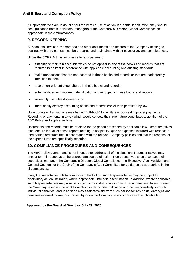#### **Anti-Bribery and Corruption Policy**

If Representatives are in doubt about the best course of action in a particular situation, they should seek guidance from supervisors, managers or the Company's Director, Global Compliance as appropriate in the circumstances.

#### **9. RECORD KEEPING**

All accounts, invoices, memoranda and other documents and records of the Company relating to dealings with third parties must be prepared and maintained with strict accuracy and completeness.

Under the COFP Act it is an offence for any person to:

- establish or maintain accounts which do not appear in any of the books and records that are required to be kept in accordance with applicable accounting and auditing standards;
- make transactions that are not recorded in those books and records or that are inadequately identified in them;
- record non-existent expenditures in those books and records;
- enter liabilities with incorrect identification of their object in those books and records;
- knowingly use false documents; or
- intentionally destroy accounting books and records earlier than permitted by law.

No accounts or transactions may be kept "off-book" to facilitate or conceal improper payments. Recording of payments in a way which would conceal their true nature constitutes a violation of the ABC Policy and applicable laws.

Documents and records must be retained for the period prescribed by applicable law. Representatives must ensure that all expense reports relating to hospitality, gifts or expenses incurred with respect to third parties are submitted in accordance with the relevant Company policies and that the reasons for the expenditures are specifically recorded.

#### **10. COMPLIANCE PROCEDURES AND CONSEQUENCES**

The ABC Policy cannot, and is not intended to, address all of the situations Representatives may encounter. If in doubt as to the appropriate course of action, Representatives should contact their supervisor, manager, the Company's Director, Global Compliance, the Executive Vice President and General Counsel, or the Chair of the Company's Audit Committee for guidance as appropriate in the circumstances.

If any Representative fails to comply with this Policy, such Representative may be subject to disciplinary action, including, where appropriate, immediate termination. In addition, where applicable, such Representatives may also be subject to individual civil or criminal legal penalties. In such cases, the Company reserves the right to withhold or deny indemnification or other responsibility for such individual penalties, and in addition may seek recovery from such person for any costs, damages and penalties incurred, borne, or imposed by or on the Company in accordance with applicable law.

#### **Approved by the Board of Directors July 29, 2020**